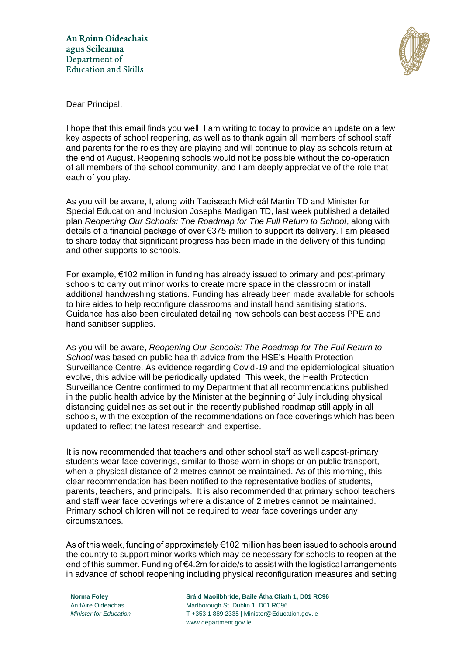

Dear Principal,

I hope that this email finds you well. I am writing to today to provide an update on a few key aspects of school reopening, as well as to thank again all members of school staff and parents for the roles they are playing and will continue to play as schools return at the end of August. Reopening schools would not be possible without the co-operation of all members of the school community, and I am deeply appreciative of the role that each of you play.

As you will be aware, I, along with Taoiseach Micheál Martin TD and Minister for Special Education and Inclusion Josepha Madigan TD, last week published a detailed plan *Reopening Our Schools: The Roadmap for The Full Return to School*, along with details of a financial package of over €375 million to support its delivery. I am pleased to share today that significant progress has been made in the delivery of this funding and other supports to schools.

For example, €102 million in funding has already issued to primary and post-primary schools to carry out minor works to create more space in the classroom or install additional handwashing stations. Funding has already been made available for schools to hire aides to help reconfigure classrooms and install hand sanitising stations. Guidance has also been circulated detailing how schools can best access PPE and hand sanitiser supplies.

As you will be aware, *Reopening Our Schools: The Roadmap for The Full Return to School* was based on public health advice from the HSE's Health Protection Surveillance Centre. As evidence regarding Covid-19 and the epidemiological situation evolve, this advice will be periodically updated. This week, the Health Protection Surveillance Centre confirmed to my Department that all recommendations published in the public health advice by the Minister at the beginning of July including physical distancing guidelines as set out in the recently published roadmap still apply in all schools, with the exception of the recommendations on face coverings which has been updated to reflect the latest research and expertise.

It is now recommended that teachers and other school staff as well aspost-primary students wear face coverings, similar to those worn in shops or on public transport, when a physical distance of 2 metres cannot be maintained. As of this morning, this clear recommendation has been notified to the representative bodies of students, parents, teachers, and principals. It is also recommended that primary school teachers and staff wear face coverings where a distance of 2 metres cannot be maintained. Primary school children will not be required to wear face coverings under any circumstances.

As of this week, funding of approximately €102 million has been issued to schools around the country to support minor works which may be necessary for schools to reopen at the end of this summer. Funding of €4.2m for aide/s to assist with the logistical arrangements in advance of school reopening including physical reconfiguration measures and setting

**Norma Foley Sráid Maoilbhríde, Baile Átha Cliath 1, D01 RC96** An tAire Oideachas Marlborough St, Dublin 1, D01 RC96 *Minister for Education* T +353 1 889 2335 | Minister@Education.gov.ie www.department.gov.ie